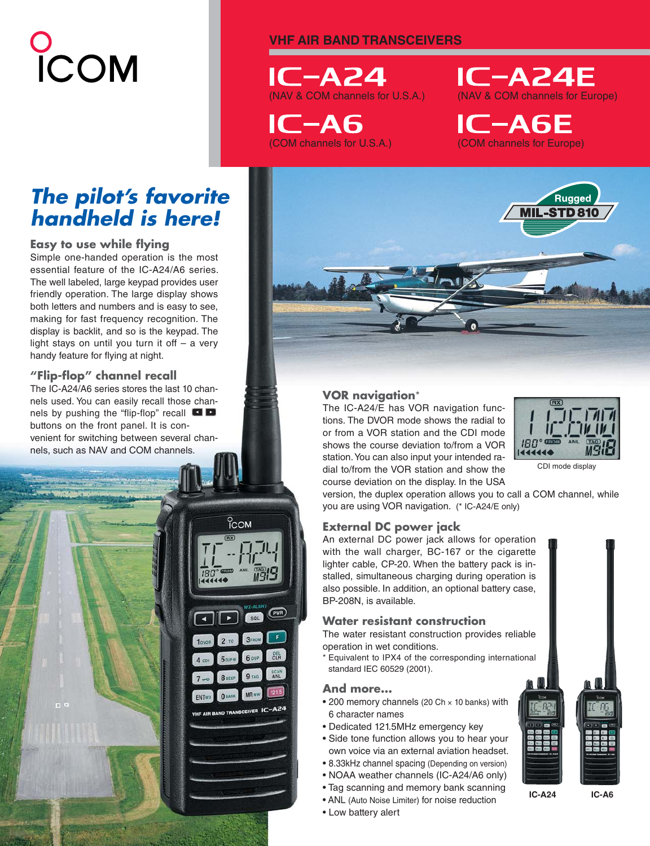# **UCOM**

# **VHF AIR BAND TRANSCEIVERS**

 $IC-AZ4$ (NAV & COM channels for U.S.A.)

 $IC-AG$ (COM channels for U.S.A.)



**IC-A6E** (COM channels for Europe)

# *The pilot's favorite handheld is here!*

# **Easy to use while flying**

Simple one-handed operation is the most essential feature of the IC-A24/A6 series. The well labeled, large keypad provides user friendly operation. The large display shows both letters and numbers and is easy to see, making for fast frequency recognition. The display is backlit, and so is the keypad. The light stays on until you turn it off – a very handy feature for flying at night.

# **"Flip-fl op" channel recall**

The IC-A24/A6 series stores the last 10 channels used. You can easily recall those channels by pushing the "flip-flop" recall  $\Box$ buttons on the front panel. It is convenient for switching between several channels, such as NAV and COM channels.





# **VOR navigation**\*

The IC-A24/E has VOR navigation functions. The DVOR mode shows the radial to or from a VOR station and the CDI mode shows the course deviation to/from a VOR station. You can also input your intended radial to/from the VOR station and show the course deviation on the display. In the USA



CDI mode display

version, the duplex operation allows you to call a COM channel, while you are using VOR navigation. (\* IC-A24/E only)

# **External DC power jack**

An external DC power jack allows for operation with the wall charger, BC-167 or the cigarette lighter cable, CP-20. When the battery pack is installed, simultaneous charging during operation is also possible. In addition, an optional battery case, BP-208N, is available.

# **Water resistant construction**

The water resistant construction provides reliable operation in wet conditions.

\* Equivalent to IPX4 of the corresponding international standard IEC 60529 (2001).

# **And more...**

- 200 memory channels (20 Ch × 10 banks) with 6 character names
- Dedicated 121.5MHz emergency key
- Side tone function allows you to hear your own voice via an external aviation headset.
- 8.33kHz channel spacing (Depending on version)
- NOAA weather channels (IC-A24/A6 only)
- Tag scanning and memory bank scanning
- ANL (Auto Noise Limiter) for noise reduction
- Low battery alert